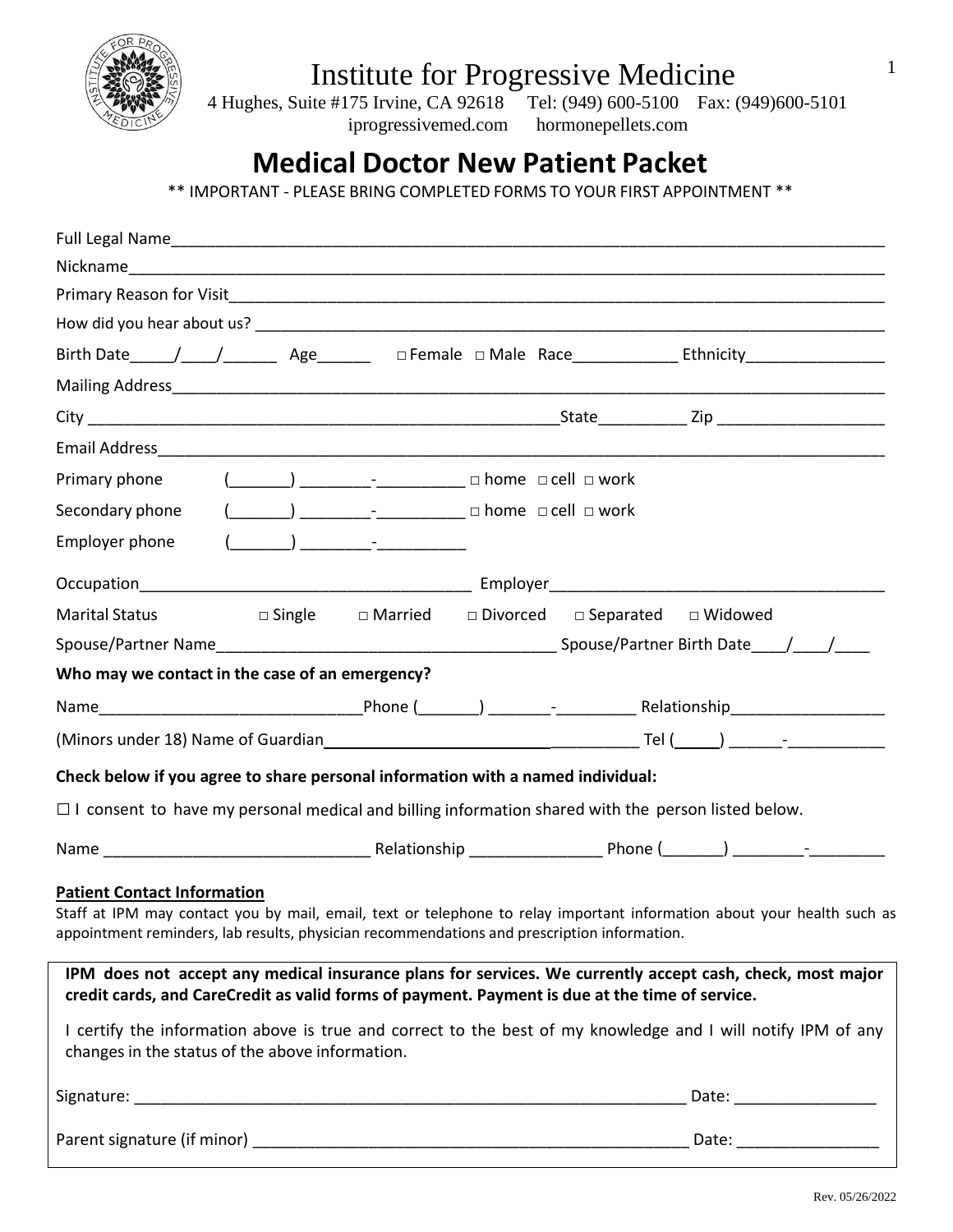

 4 Hughes, Suite #175 Irvine, CA 92618 Tel: (949) 600-5100 Fax: (949)600-5101 iprogressivemed.com hormonepellets.com

# **Medical Doctor New Patient Packet**

\*\* IMPORTANT - PLEASE BRING COMPLETED FORMS TO YOUR FIRST APPOINTMENT \*\*

| Primary phone                                                                                                                                                                                                                                                                                                                                                                                                                                                                                                                                                                                                                                  |  | $(\_\_\_\_\_\_\_$ $\_\_\_\_\_$ $\_\_\_\_$ $\_\_$ $\_\_$ $\_\_$ $\_\_$ $\_\_$ $\_\_$ $\_\_$ $\_\_$ $\_\_$ $\_\_$ $\_\_$ $\_\_$ $\_\_$ $\_\_$ $\_\_$ $\_\_$ $\_\_$ $\_\_$ $\_\_$ $\_\_$ $\_\_$ $\_\_$ $\_\_$ $\_\_$ $\_\_$ $\_\_$ $\_\_$ $\_\_$ $\_\_$ $\_\_$ $\_\_$ $\_\_$                                                                           |  |  |  |             |
|------------------------------------------------------------------------------------------------------------------------------------------------------------------------------------------------------------------------------------------------------------------------------------------------------------------------------------------------------------------------------------------------------------------------------------------------------------------------------------------------------------------------------------------------------------------------------------------------------------------------------------------------|--|-----------------------------------------------------------------------------------------------------------------------------------------------------------------------------------------------------------------------------------------------------------------------------------------------------------------------------------------------------|--|--|--|-------------|
| Secondary phone                                                                                                                                                                                                                                                                                                                                                                                                                                                                                                                                                                                                                                |  |                                                                                                                                                                                                                                                                                                                                                     |  |  |  |             |
| Employer phone                                                                                                                                                                                                                                                                                                                                                                                                                                                                                                                                                                                                                                 |  | $\begin{picture}(150,10) \put(0,0){\line(1,0){10}} \put(15,0){\line(1,0){10}} \put(15,0){\line(1,0){10}} \put(15,0){\line(1,0){10}} \put(15,0){\line(1,0){10}} \put(15,0){\line(1,0){10}} \put(15,0){\line(1,0){10}} \put(15,0){\line(1,0){10}} \put(15,0){\line(1,0){10}} \put(15,0){\line(1,0){10}} \put(15,0){\line(1,0){10}} \put(15,0){\line($ |  |  |  |             |
|                                                                                                                                                                                                                                                                                                                                                                                                                                                                                                                                                                                                                                                |  |                                                                                                                                                                                                                                                                                                                                                     |  |  |  |             |
| <b>Marital Status</b>                                                                                                                                                                                                                                                                                                                                                                                                                                                                                                                                                                                                                          |  | $\square$ Single $\square$ Married $\square$ Divorced $\square$ Separated $\square$ Widowed                                                                                                                                                                                                                                                         |  |  |  |             |
|                                                                                                                                                                                                                                                                                                                                                                                                                                                                                                                                                                                                                                                |  |                                                                                                                                                                                                                                                                                                                                                     |  |  |  |             |
| Who may we contact in the case of an emergency?                                                                                                                                                                                                                                                                                                                                                                                                                                                                                                                                                                                                |  |                                                                                                                                                                                                                                                                                                                                                     |  |  |  |             |
|                                                                                                                                                                                                                                                                                                                                                                                                                                                                                                                                                                                                                                                |  |                                                                                                                                                                                                                                                                                                                                                     |  |  |  |             |
|                                                                                                                                                                                                                                                                                                                                                                                                                                                                                                                                                                                                                                                |  |                                                                                                                                                                                                                                                                                                                                                     |  |  |  |             |
| Check below if you agree to share personal information with a named individual:                                                                                                                                                                                                                                                                                                                                                                                                                                                                                                                                                                |  |                                                                                                                                                                                                                                                                                                                                                     |  |  |  |             |
| $\Box$ I consent to have my personal medical and billing information shared with the person listed below.                                                                                                                                                                                                                                                                                                                                                                                                                                                                                                                                      |  |                                                                                                                                                                                                                                                                                                                                                     |  |  |  |             |
|                                                                                                                                                                                                                                                                                                                                                                                                                                                                                                                                                                                                                                                |  |                                                                                                                                                                                                                                                                                                                                                     |  |  |  |             |
| <b>Patient Contact Information</b><br>Staff at IPM may contact you by mail, email, text or telephone to relay important information about your health such as<br>appointment reminders, lab results, physician recommendations and prescription information.<br>IPM does not accept any medical insurance plans for services. We currently accept cash, check, most major<br>credit cards, and CareCredit as valid forms of payment. Payment is due at the time of service.<br>I certify the information above is true and correct to the best of my knowledge and I will notify IPM of any<br>changes in the status of the above information. |  |                                                                                                                                                                                                                                                                                                                                                     |  |  |  |             |
|                                                                                                                                                                                                                                                                                                                                                                                                                                                                                                                                                                                                                                                |  |                                                                                                                                                                                                                                                                                                                                                     |  |  |  | Date: Date: |
|                                                                                                                                                                                                                                                                                                                                                                                                                                                                                                                                                                                                                                                |  |                                                                                                                                                                                                                                                                                                                                                     |  |  |  |             |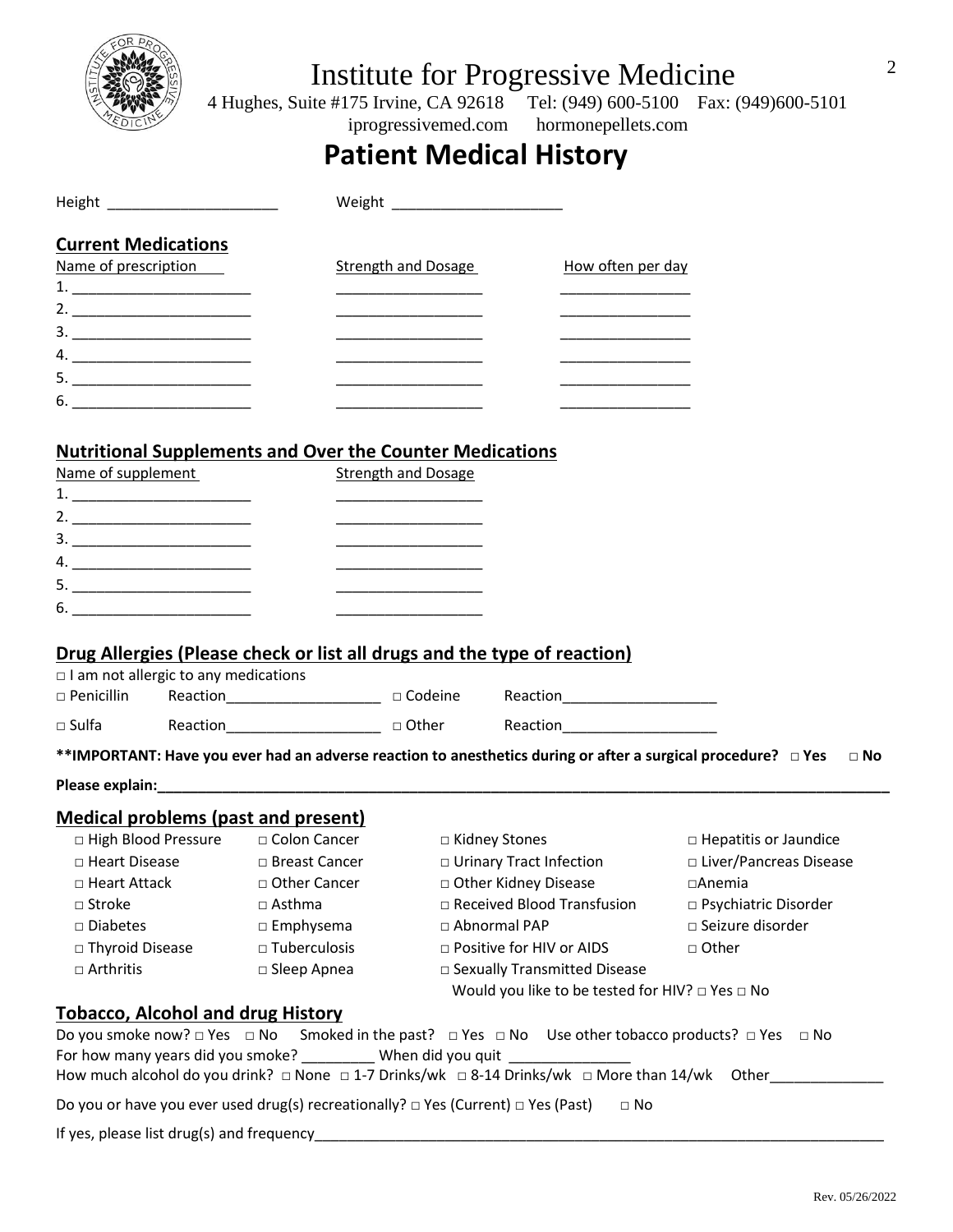

 4 Hughes, Suite #175 Irvine, CA 92618 Tel: (949) 600-5100 Fax: (949)600-5101 iprogressivemed.com hormonepellets.com

## **Patient Medical History**

| Height and the state of the state of the state of the state of the state of the state of the state of the state                                                                                                                                                                                                                                                                                                                             |                        |                            |                                                                                  |                                                                                                |
|---------------------------------------------------------------------------------------------------------------------------------------------------------------------------------------------------------------------------------------------------------------------------------------------------------------------------------------------------------------------------------------------------------------------------------------------|------------------------|----------------------------|----------------------------------------------------------------------------------|------------------------------------------------------------------------------------------------|
| <b>Current Medications</b>                                                                                                                                                                                                                                                                                                                                                                                                                  |                        |                            |                                                                                  |                                                                                                |
| Name of prescription                                                                                                                                                                                                                                                                                                                                                                                                                        |                        | <b>Strength and Dosage</b> | How often per day                                                                |                                                                                                |
| $\begin{tabular}{c} 1. & \begin{tabular}{@{}c@{}} \multicolumn{3}{@{}c@{}} \multicolumn{3}{@{}c@{}} \multicolumn{3}{@{}c@{}} \multicolumn{3}{@{}c@{}} \multicolumn{3}{@{}c@{}} \multicolumn{3}{@{}c@{}} \multicolumn{3}{@{}c@{}} \multicolumn{3}{@{}c@{}} \multicolumn{3}{@{}c@{}} \multicolumn{3}{@{}c@{}} \multicolumn{3}{@{}c@{}} \multicolumn{3}{@{}c@{}} \multicolumn{3}{@{}c@{}} \multicolumn{3}{@{}c@{}} \multicolumn{3}{@{}c@{}} \$ |                        |                            |                                                                                  |                                                                                                |
|                                                                                                                                                                                                                                                                                                                                                                                                                                             |                        |                            |                                                                                  |                                                                                                |
|                                                                                                                                                                                                                                                                                                                                                                                                                                             |                        |                            |                                                                                  |                                                                                                |
|                                                                                                                                                                                                                                                                                                                                                                                                                                             |                        |                            |                                                                                  |                                                                                                |
|                                                                                                                                                                                                                                                                                                                                                                                                                                             |                        |                            |                                                                                  |                                                                                                |
| $6. \underline{\hspace{1.5cm}}$                                                                                                                                                                                                                                                                                                                                                                                                             |                        |                            |                                                                                  |                                                                                                |
|                                                                                                                                                                                                                                                                                                                                                                                                                                             |                        |                            |                                                                                  |                                                                                                |
| <b>Nutritional Supplements and Over the Counter Medications</b>                                                                                                                                                                                                                                                                                                                                                                             |                        |                            |                                                                                  |                                                                                                |
| Name of supplement                                                                                                                                                                                                                                                                                                                                                                                                                          |                        | <b>Strength and Dosage</b> |                                                                                  |                                                                                                |
|                                                                                                                                                                                                                                                                                                                                                                                                                                             |                        |                            |                                                                                  |                                                                                                |
|                                                                                                                                                                                                                                                                                                                                                                                                                                             |                        |                            |                                                                                  |                                                                                                |
|                                                                                                                                                                                                                                                                                                                                                                                                                                             |                        |                            |                                                                                  |                                                                                                |
|                                                                                                                                                                                                                                                                                                                                                                                                                                             |                        |                            |                                                                                  |                                                                                                |
|                                                                                                                                                                                                                                                                                                                                                                                                                                             |                        |                            |                                                                                  |                                                                                                |
| $\begin{tabular}{c} 6. & \begin{tabular}{@{}c@{}} \textbf{---} & \textbf{---} & \textbf{---} & \textbf{---} \\ \end{tabular} \end{tabular} \end{tabular}$                                                                                                                                                                                                                                                                                   |                        |                            |                                                                                  |                                                                                                |
| Drug Allergies (Please check or list all drugs and the type of reaction)<br>$\Box$ I am not allergic to any medications<br>$\square$ Penicillin                                                                                                                                                                                                                                                                                             |                        |                            | Reaction_________________________________ a Codeine Reaction____________________ |                                                                                                |
|                                                                                                                                                                                                                                                                                                                                                                                                                                             |                        |                            |                                                                                  |                                                                                                |
| **IMPORTANT: Have you ever had an adverse reaction to anesthetics during or after a surgical procedure? $\Box$ Yes                                                                                                                                                                                                                                                                                                                          |                        |                            |                                                                                  | $\Box$ No                                                                                      |
|                                                                                                                                                                                                                                                                                                                                                                                                                                             |                        |                            |                                                                                  |                                                                                                |
| <b>Medical problems (past and present)</b>                                                                                                                                                                                                                                                                                                                                                                                                  |                        |                            |                                                                                  |                                                                                                |
| □ High Blood Pressure □ Colon Cancer                                                                                                                                                                                                                                                                                                                                                                                                        |                        |                            | □ Kidney Stones                                                                  | □ Hepatitis or Jaundice                                                                        |
| $\hfill \Box$<br>Heart Disease $\hfill \Box$<br>Breast Cancer                                                                                                                                                                                                                                                                                                                                                                               |                        |                            | □ Urinary Tract Infection                                                        | □ Liver/Pancreas Disease                                                                       |
| □ Heart Attack                                                                                                                                                                                                                                                                                                                                                                                                                              | □ Other Cancer         |                            | □ Other Kidney Disease                                                           | $\Box$ Anemia                                                                                  |
| $\square$ Stroke                                                                                                                                                                                                                                                                                                                                                                                                                            | $\Box$ Asthma          |                            | $\Box$ Received Blood Transfusion                                                | □ Psychiatric Disorder                                                                         |
| $\square$ Diabetes                                                                                                                                                                                                                                                                                                                                                                                                                          | $\Box$ Emphysema       |                            | □ Abnormal PAP                                                                   | □ Seizure disorder                                                                             |
| □ Thyroid Disease                                                                                                                                                                                                                                                                                                                                                                                                                           | $\square$ Tuberculosis |                            | □ Positive for HIV or AIDS                                                       | □ Other                                                                                        |
| $\Box$ Arthritis                                                                                                                                                                                                                                                                                                                                                                                                                            | $\square$ Sleep Apnea  |                            | □ Sexually Transmitted Disease                                                   |                                                                                                |
|                                                                                                                                                                                                                                                                                                                                                                                                                                             |                        |                            | Would you like to be tested for HIV? □ Yes □ No                                  |                                                                                                |
| <b>Tobacco, Alcohol and drug History</b>                                                                                                                                                                                                                                                                                                                                                                                                    |                        |                            |                                                                                  |                                                                                                |
| Do you smoke now? □ Yes □ No Smoked in the past? □ Yes □ No Use other tobacco products? □ Yes □ No<br>For how many years did you smoke? ___________ When did you quit ________________                                                                                                                                                                                                                                                      |                        |                            |                                                                                  | How much alcohol do you drink? □ None □ 1-7 Drinks/wk □ 8-14 Drinks/wk □ More than 14/wk Other |
| Do you or have you ever used drug(s) recreationally? $\Box$ Yes (Current) $\Box$ Yes (Past)                                                                                                                                                                                                                                                                                                                                                 |                        |                            | $\Box$ No                                                                        |                                                                                                |
|                                                                                                                                                                                                                                                                                                                                                                                                                                             |                        |                            |                                                                                  |                                                                                                |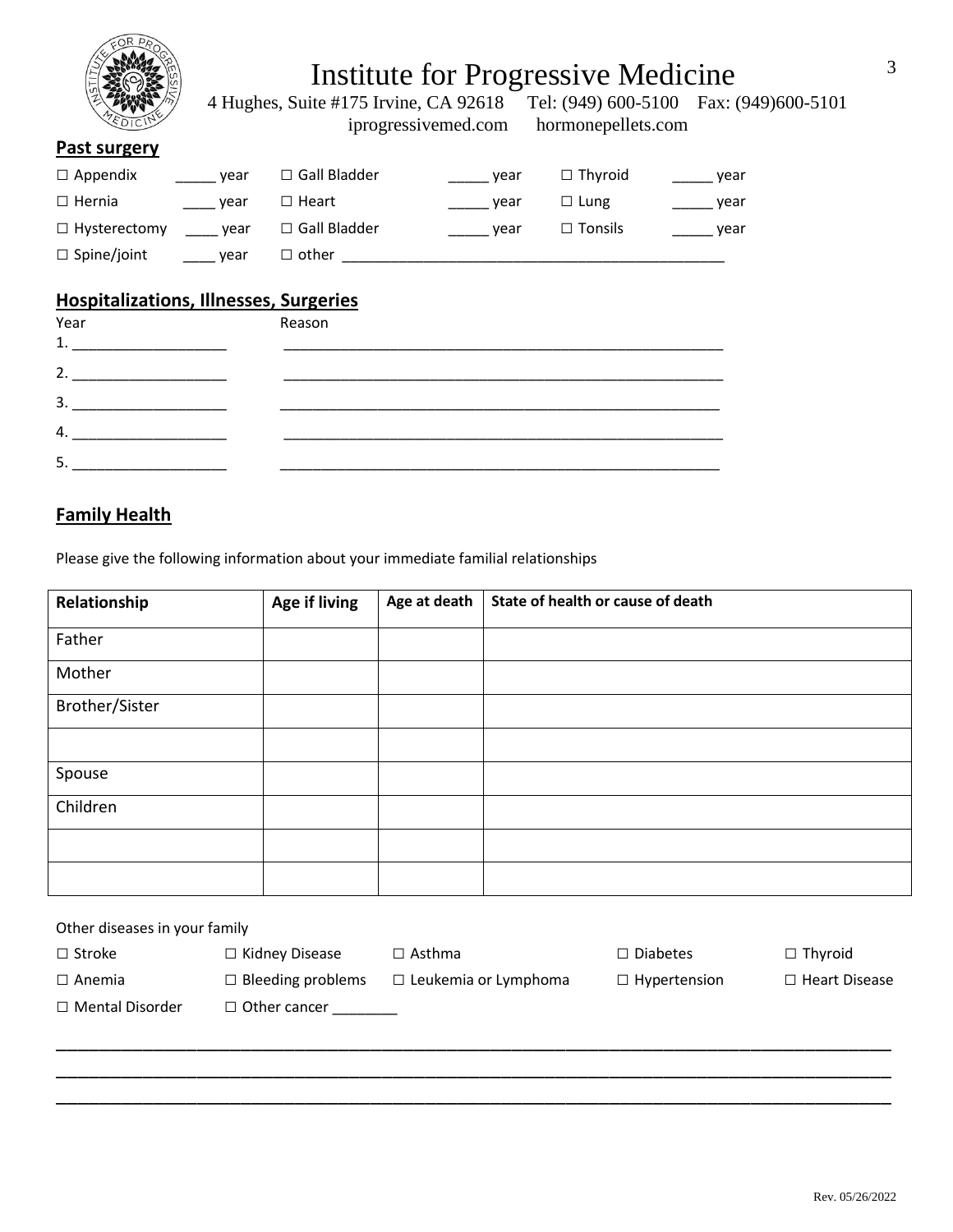

4 Hughes, Suite #175 Irvine, CA 92618 Tel: (949) 600-5100 Fax: (949) 600-5101 iprogressivemed.com hormonepellets.com iprogressivemed.com

### **Past surgery**

| $\Box$ Appendix     | vear | $\Box$ Gall Bladder | vear | $\Box$ Thyroid | vear |
|---------------------|------|---------------------|------|----------------|------|
| $\Box$ Hernia       | vear | $\Box$ Heart        | vear | $\Box$ Lung    | vear |
| $\Box$ Hysterectomy | vear | $\Box$ Gall Bladder | vear | $\Box$ Tonsils | year |
| $\Box$ Spine/joint  | vear | $\Box$ other        |      |                |      |

### **Hospitalizations, Illnesses, Surgeries**

| Year<br>1. | Reason |  |
|------------|--------|--|
| 2.         |        |  |
| 3.         |        |  |
| 4.         |        |  |
| -5.        |        |  |

### **Family Health**

Please give the following information about your immediate familial relationships

| Relationship   | Age if living | Age at death | State of health or cause of death |
|----------------|---------------|--------------|-----------------------------------|
| Father         |               |              |                                   |
| Mother         |               |              |                                   |
| Brother/Sister |               |              |                                   |
|                |               |              |                                   |
| Spouse         |               |              |                                   |
| Children       |               |              |                                   |
|                |               |              |                                   |
|                |               |              |                                   |

| Other diseases in your family |                          |                             |                     |                      |  |  |  |  |
|-------------------------------|--------------------------|-----------------------------|---------------------|----------------------|--|--|--|--|
| $\Box$ Stroke                 | $\Box$ Kidney Disease    | $\Box$ Asthma               | $\Box$ Diabetes     | $\Box$ Thyroid       |  |  |  |  |
| $\Box$ Anemia                 | $\Box$ Bleeding problems | $\Box$ Leukemia or Lymphoma | $\Box$ Hypertension | $\Box$ Heart Disease |  |  |  |  |
| $\Box$ Mental Disorder        | $\Box$ Other cancer      |                             |                     |                      |  |  |  |  |
|                               |                          |                             |                     |                      |  |  |  |  |
|                               |                          |                             |                     |                      |  |  |  |  |

\_\_\_\_\_\_\_\_\_\_\_\_\_\_\_\_\_\_\_\_\_\_\_\_\_\_\_\_\_\_\_\_\_\_\_\_\_\_\_\_\_\_\_\_\_\_\_\_\_\_\_\_\_\_\_\_\_\_\_\_\_\_\_\_\_\_\_\_\_\_\_\_\_\_\_\_\_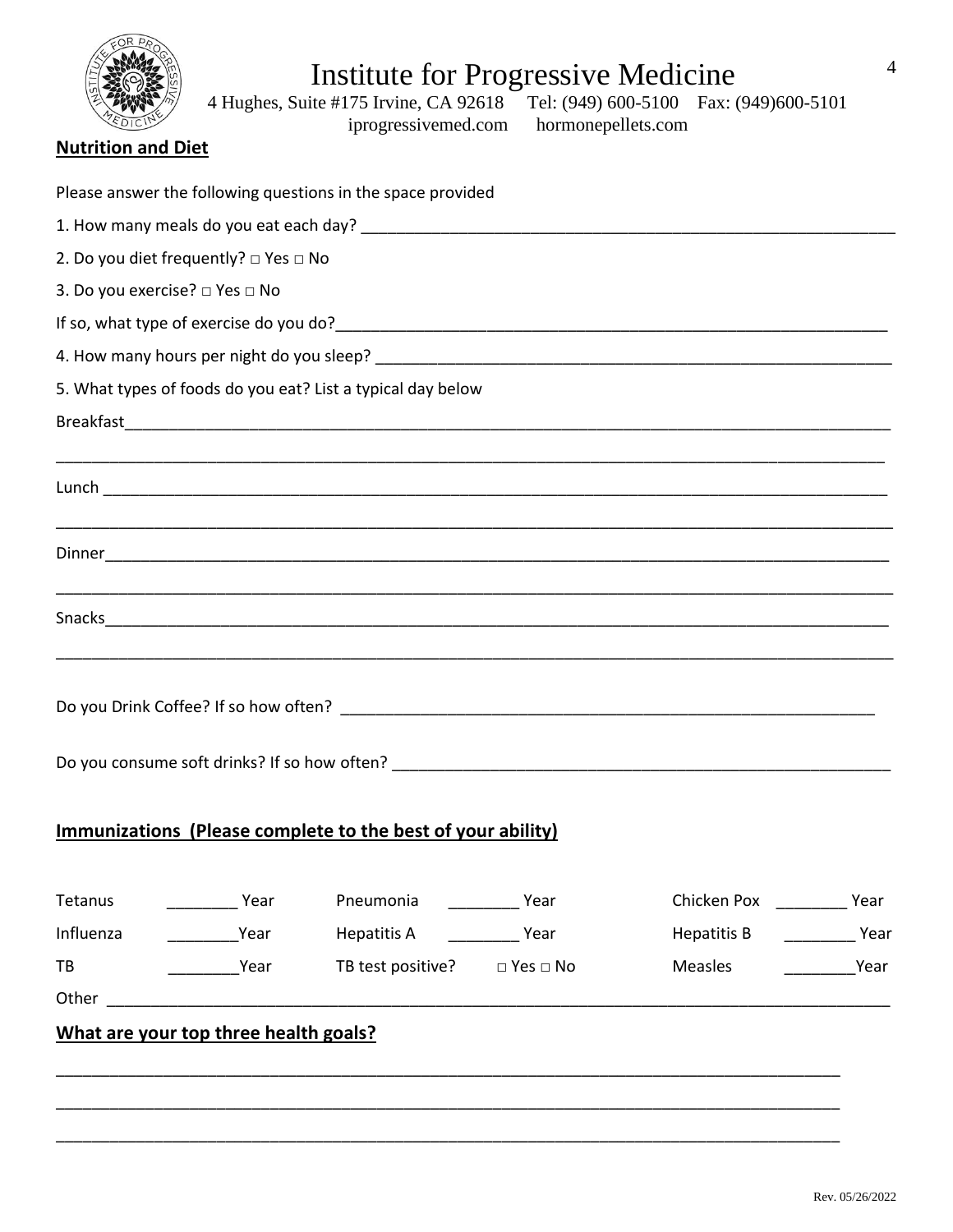| 4<br>Institute for Progressive Medicine<br>4 Hughes, Suite #175 Irvine, CA 92618 Tel: (949) 600-5100 Fax: (949) 600-5101<br>iprogressivemed.com hormonepellets.com<br><b>Nutrition and Diet</b> |
|-------------------------------------------------------------------------------------------------------------------------------------------------------------------------------------------------|
| Please answer the following questions in the space provided                                                                                                                                     |
|                                                                                                                                                                                                 |
| 2. Do you diet frequently? $\Box$ Yes $\Box$ No                                                                                                                                                 |
| 3. Do you exercise? □ Yes □ No                                                                                                                                                                  |
|                                                                                                                                                                                                 |
|                                                                                                                                                                                                 |
| 5. What types of foods do you eat? List a typical day below                                                                                                                                     |
|                                                                                                                                                                                                 |
|                                                                                                                                                                                                 |
|                                                                                                                                                                                                 |
|                                                                                                                                                                                                 |
| Do you Drink Coffee? If so how often?                                                                                                                                                           |
|                                                                                                                                                                                                 |
| Immunizations (Please complete to the best of your ability)                                                                                                                                     |
| Tetanus<br><b>Near</b> Year                                                                                                                                                                     |
| ____________Year Hepatitis A ____________Year<br>Influenza                                                                                                                                      |
| Year TB test positive? □ Yes □ No<br>Measles Year<br>TB                                                                                                                                         |
|                                                                                                                                                                                                 |
| What are your top three health goals?                                                                                                                                                           |

\_\_\_\_\_\_\_\_\_\_\_\_\_\_\_\_\_\_\_\_\_\_\_\_\_\_\_\_\_\_\_\_\_\_\_\_\_\_\_\_\_\_\_\_\_\_\_\_\_\_\_\_\_\_\_\_\_\_\_\_\_\_\_\_\_\_\_\_\_\_\_\_\_\_\_\_\_\_\_\_\_\_\_\_\_\_\_\_

\_\_\_\_\_\_\_\_\_\_\_\_\_\_\_\_\_\_\_\_\_\_\_\_\_\_\_\_\_\_\_\_\_\_\_\_\_\_\_\_\_\_\_\_\_\_\_\_\_\_\_\_\_\_\_\_\_\_\_\_\_\_\_\_\_\_\_\_\_\_\_\_\_\_\_\_\_\_\_\_\_\_\_\_\_\_\_\_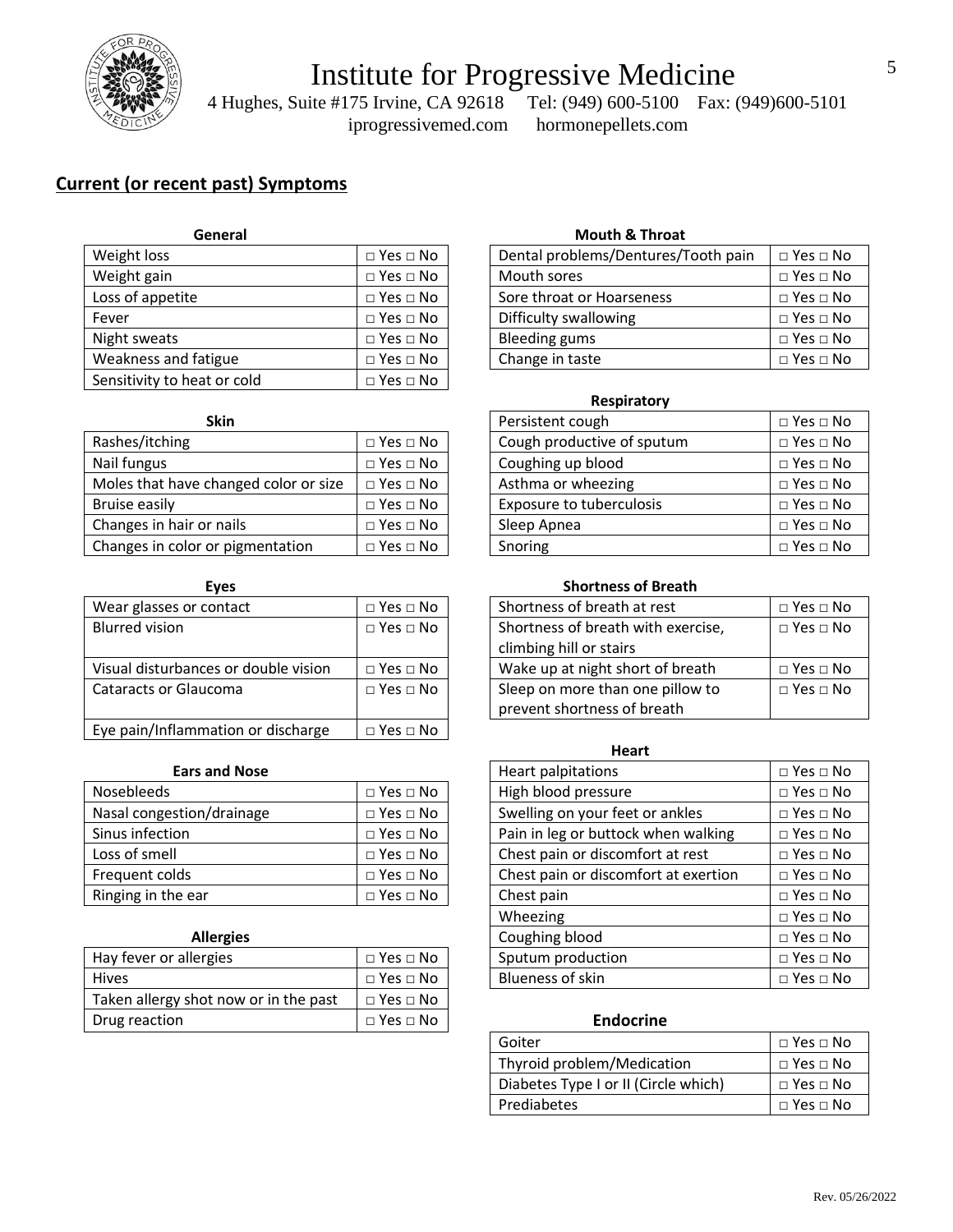

 4 Hughes, Suite #175 Irvine, CA 92618 Tel: (949) 600-5100 Fax: (949)600-5101 iprogressivemed.com hormonepellets.com

### **Current (or recent past) Symptoms**

| General                     |                      |
|-----------------------------|----------------------|
| Weight loss                 | $\Box$ Yes $\Box$ No |
| Weight gain                 | $\Box$ Yes $\Box$ No |
| Loss of appetite            | $\Box$ Yes $\Box$ No |
| Fever                       | $\Box$ Yes $\Box$ No |
| Night sweats                | $\Box$ Yes $\Box$ No |
| Weakness and fatigue        | $\Box$ Yes $\Box$ No |
| Sensitivity to heat or cold | $\Box$ Yes $\Box$ No |

| Skin                                  |                            | Persistent cough           | □ Yes □ No           |
|---------------------------------------|----------------------------|----------------------------|----------------------|
| Rashes/itching                        | $\square$ Yes $\square$ No | Cough productive of sputum | $\Box$ Yes $\Box$ No |
| Nail fungus                           | $\Box$ Yes $\Box$ No       | Coughing up blood          | $\Box$ Yes $\Box$ No |
| Moles that have changed color or size | $\Box$ Yes $\Box$ No       | Asthma or wheezing         | $\Box$ Yes $\Box$ No |
| Bruise easily                         | $\square$ Yes $\square$ No | Exposure to tuberculosis   | $\Box$ Yes $\Box$ No |
| Changes in hair or nails              | $\Box$ Yes $\Box$ No       | Sleep Apnea                | $\Box$ Yes $\Box$ No |
| Changes in color or pigmentation      | $\Box$ Yes $\Box$ No       | Snoring                    | $\Box$ Yes $\Box$ No |

| <b>Eves</b>                          |                      | <b>Shortness of Breath</b>                                      |
|--------------------------------------|----------------------|-----------------------------------------------------------------|
| Wear glasses or contact              | $\Box$ Yes $\Box$ No | Shortness of breath at rest                                     |
| <b>Blurred vision</b>                | $\Box$ Yes $\Box$ No | Shortness of breath with exercise,<br>climbing hill or stairs   |
| Visual disturbances or double vision | $\Box$ Yes $\Box$ No | Wake up at night short of breath                                |
| <b>Cataracts or Glaucoma</b>         | $\Box$ Yes $\Box$ No | Sleep on more than one pillow to<br>prevent shortness of breath |
| Eye pain/Inflammation or discharge   | $\Box$ Yes $\Box$ No |                                                                 |

#### $Ears$  and Nose

| <b>Nosebleeds</b>         | $\Box$ Yes $\Box$ No |
|---------------------------|----------------------|
| Nasal congestion/drainage | $\Box$ Yes $\Box$ No |
| Sinus infection           | $\Box$ Yes $\Box$ No |
| Loss of smell             | $\Box$ Yes $\Box$ No |
| Frequent colds            | $\Box$ Yes $\Box$ No |
| Ringing in the ear        | $\Box$ Yes $\Box$ No |

| Hay fever or allergies                | $\Box$ Yes $\Box$ No |
|---------------------------------------|----------------------|
| <b>Hives</b>                          | $\Box$ Yes $\Box$ No |
| Taken allergy shot now or in the past | $\Box$ Yes $\Box$ No |
| Drug reaction                         | $\Box$ Yes $\Box$ No |

### **General Mouth & Throat**

| Weight loss          | $\Box$ Yes $\Box$ No | Dental problems/Dentures/Tooth pain | $\Box$ Yes $\Box$ No |
|----------------------|----------------------|-------------------------------------|----------------------|
| Weight gain          | $\Box$ Yes $\Box$ No | Mouth sores                         | $\Box$ Yes $\Box$ No |
| Loss of appetite     | $\Box$ Yes $\Box$ No | Sore throat or Hoarseness           | $\Box$ Yes $\Box$ No |
| Fever                | $\Box$ Yes $\Box$ No | Difficulty swallowing               | $\Box$ Yes $\Box$ No |
| Night sweats         | $\Box$ Yes $\Box$ No | Bleeding gums                       | $\Box$ Yes $\Box$ No |
| Weakness and fatigue | $\Box$ Yes $\Box$ No | Change in taste                     | $\Box$ Yes $\Box$ No |
|                      |                      |                                     |                      |

#### **Respiratory**

| <b>Skin</b>                           |                            | Persistent cough | $\square$ Yes $\square$ No |                            |
|---------------------------------------|----------------------------|------------------|----------------------------|----------------------------|
| Rashes/itching                        | $\Box$ Yes $\Box$ No       |                  | Cough productive of sputum | $\square$ Yes $\square$ No |
| Nail fungus                           | $\Box$ Yes $\Box$ No       |                  | Coughing up blood          | $\square$ Yes $\square$ No |
| Moles that have changed color or size | $\Box$ Yes $\Box$ No       |                  | Asthma or wheezing         | $\Box$ Yes $\Box$ No       |
| <b>Bruise easily</b>                  | $\Box$ Yes $\Box$ No       |                  | Exposure to tuberculosis   | $\square$ Yes $\square$ No |
| Changes in hair or nails              | $\Box$ Yes $\Box$ No       |                  | Sleep Apnea                | $\square$ Yes $\square$ No |
| Changes in color or pigmentation      | $\square$ Yes $\square$ No |                  | Snoring                    | $\square$ Yes $\square$ No |

| <b>EVES</b>                          |                      |  | Shortness of Breath                                             |                      |
|--------------------------------------|----------------------|--|-----------------------------------------------------------------|----------------------|
| Wear glasses or contact              | $\Box$ Yes $\Box$ No |  | Shortness of breath at rest                                     | $\Box$ Yes $\Box$ No |
| Blurred vision                       | $\Box$ Yes $\Box$ No |  | Shortness of breath with exercise,                              | $\Box$ Yes $\Box$ No |
|                                      |                      |  | climbing hill or stairs                                         |                      |
| Visual disturbances or double vision | $\Box$ Yes $\Box$ No |  | Wake up at night short of breath                                | $\Box$ Yes $\Box$ No |
| Cataracts or Glaucoma                | $\Box$ Yes $\Box$ No |  | Sleep on more than one pillow to<br>prevent shortness of breath | $\Box$ Yes $\Box$ No |

|                           | Heart                |                                          |                            |
|---------------------------|----------------------|------------------------------------------|----------------------------|
| <b>Ears and Nose</b>      |                      | Heart palpitations                       | $\square$ Yes $\square$ No |
| Nosebleeds                | $\Box$ Yes $\Box$ No | High blood pressure                      | $\square$ Yes $\square$ No |
| Nasal congestion/drainage | $\Box$ Yes $\Box$ No | Swelling on your feet or ankles          | $\square$ Yes $\square$ No |
| Sinus infection           | $\Box$ Yes $\Box$ No | Pain in leg or buttock when walking      | $\Box$ Yes $\Box$ No       |
| Loss of smell             | $\Box$ Yes $\Box$ No | Chest pain or discomfort at rest         | $\Box$ Yes $\Box$ No       |
| Frequent colds            | $\Box$ Yes $\Box$ No | Chest pain or discomfort at exertion     | $\Box$ Yes $\Box$ No       |
| Ringing in the ear        | $\Box$ Yes $\Box$ No | Chest pain<br>$\square$ Yes $\square$ No |                            |
|                           |                      | Wheezing                                 | $\square$ Yes $\square$ No |
| <b>Allergies</b>          |                      | Coughing blood                           | $\Box$ Yes $\Box$ No       |
| Hay fever or allergies    | $\Box$ Yes $\Box$ No | Sputum production                        | $\Box$ Yes $\Box$ No       |
| <b>Hives</b>              | $\Box$ Yes $\Box$ No | Blueness of skin                         | $\Box$ Yes $\Box$ No       |

### $Endocrine$

| Goiter                               | $\Box$ Yes $\Box$ No                    |
|--------------------------------------|-----------------------------------------|
| Thyroid problem/Medication           | $\Box$ Yes $\Box$ No                    |
| Diabetes Type I or II (Circle which) | $\blacksquare$ $\sqcap$ Yes $\sqcap$ No |
| Prediabetes                          | $\Box$ Yes $\Box$ No                    |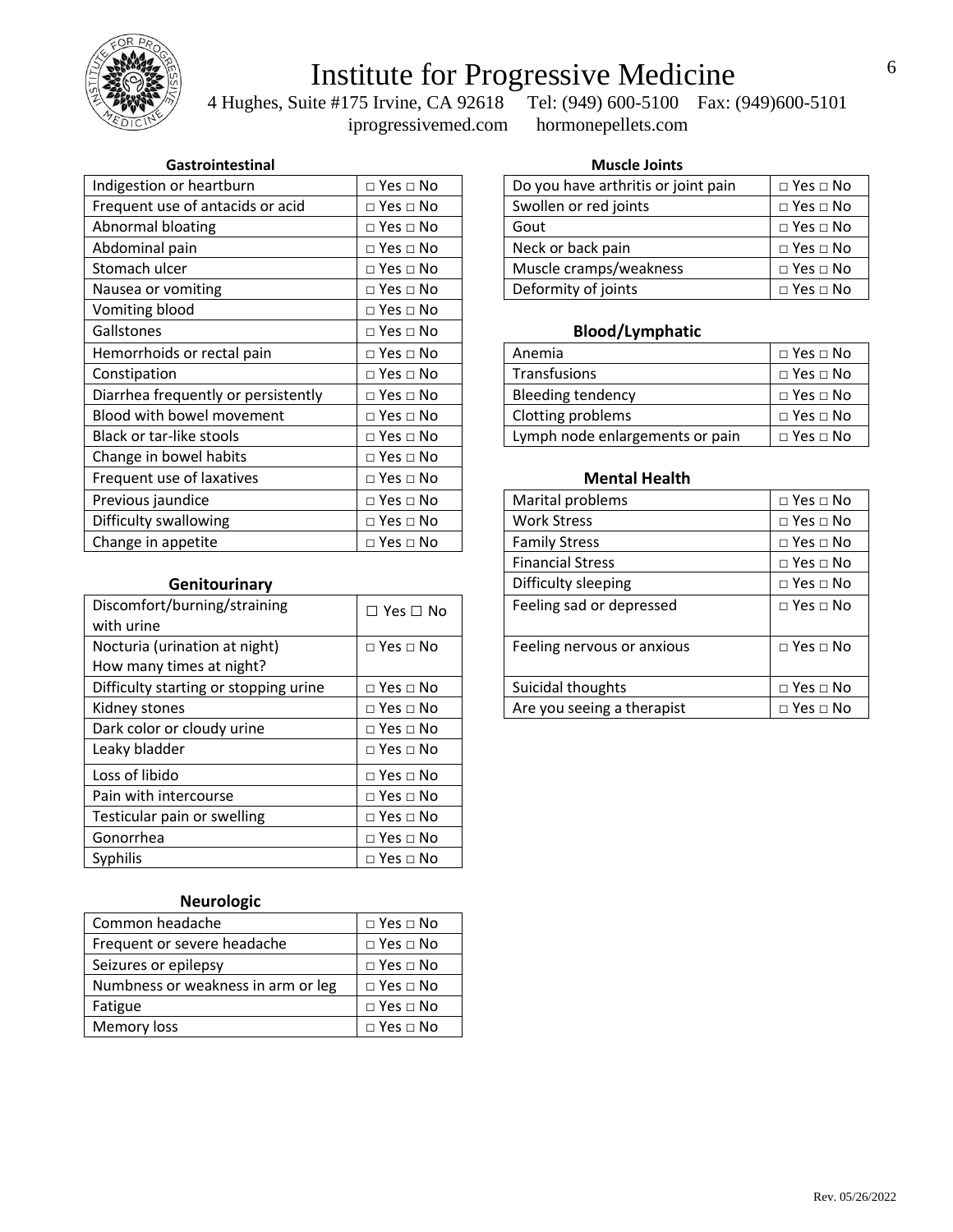

 4 Hughes, Suite #175 Irvine, CA 92618 Tel: (949) 600-5100 Fax: (949)600-5101 iprogressivemed.com hormonepellets.com

### **Gastrointestinal Muscle Joints**

| Indigestion or heartburn            | $\Box$ Yes $\Box$ No       | Do you have arthritis or joint pain | $\Box$ Yes $\Box$ No |
|-------------------------------------|----------------------------|-------------------------------------|----------------------|
| Frequent use of antacids or acid    | $\Box$ Yes $\Box$ No       | Swollen or red joints               | $\Box$ Yes $\Box$ No |
| Abnormal bloating                   | $\Box$ Yes $\Box$ No       | Gout                                | $\Box$ Yes $\Box$ No |
| Abdominal pain                      | $\Box$ Yes $\Box$ No       | Neck or back pain                   | $\Box$ Yes $\Box$ No |
| Stomach ulcer                       | $\Box$ Yes $\Box$ No       | Muscle cramps/weakness              | $\Box$ Yes $\Box$ No |
| Nausea or vomiting                  | $\Box$ Yes $\Box$ No       | Deformity of joints                 | $\Box$ Yes $\Box$ No |
| Vomiting blood                      | $\square$ Yes $\square$ No |                                     |                      |
| Gallstones                          | $\Box$ Yes $\Box$ No       | <b>Blood/Lymphatic</b>              |                      |
| Hemorrhoids or rectal pain          | $\Box$ Yes $\Box$ No       | Anemia                              | $\Box$ Yes $\Box$ No |
| Constipation                        | $\Box$ Yes $\Box$ No       | Transfusions                        | $\Box$ Yes $\Box$ No |
| Diarrhea frequently or persistently | $\Box$ Yes $\Box$ No       | <b>Bleeding tendency</b>            | $\Box$ Yes $\Box$ No |
| Blood with bowel movement           | $\Box$ Yes $\Box$ No       | Clotting problems                   | $\Box$ Yes $\Box$ No |
| Black or tar-like stools            | $\Box$ Yes $\Box$ No       | Lymph node enlargements or pain     | $\Box$ Yes $\Box$ No |
| Change in bowel habits              | $\Box$ Yes $\Box$ No       |                                     |                      |
| Frequent use of laxatives           | $\Box$ Yes $\Box$ No       | <b>Mental Health</b>                |                      |
| Previous jaundice                   | $\Box$ Yes $\Box$ No       | Marital problems                    | $\Box$ Yes $\Box$ No |
| Difficulty swallowing               | $\Box$ Yes $\Box$ No       | <b>Work Stress</b>                  | $\Box$ Yes $\Box$ No |
| Change in appetite                  | $\Box$ Yes $\Box$ No       | <b>Family Stress</b>                | $\Box$ Yes $\Box$ No |

### $Genitourinary$

| Discomfort/burning/straining<br>with urine                | $\Box$ Yes $\Box$ No | Feeling sad or depressed   |  |
|-----------------------------------------------------------|----------------------|----------------------------|--|
| Nocturia (urination at night)<br>How many times at night? | $\Box$ Yes $\Box$ No | Feeling nervous or anxious |  |
| Difficulty starting or stopping urine                     | $\Box$ Yes $\Box$ No | Suicidal thoughts          |  |
| Kidney stones                                             | $\Box$ Yes $\Box$ No | Are you seeing a therapist |  |
| Dark color or cloudy urine                                | $\Box$ Yes $\Box$ No |                            |  |
| Leaky bladder                                             | $\Box$ Yes $\Box$ No |                            |  |
| Loss of libido                                            | $\Box$ Yes $\Box$ No |                            |  |
| Pain with intercourse                                     | $\Box$ Yes $\Box$ No |                            |  |
| Testicular pain or swelling                               | $\Box$ Yes $\Box$ No |                            |  |
| Gonorrhea                                                 | $\Box$ Yes $\Box$ No |                            |  |
| Syphilis                                                  | $\Box$ Yes $\Box$ No |                            |  |

### **Neurologic**

| Common headache                    | $\Box$ Yes $\Box$ No       |
|------------------------------------|----------------------------|
| Frequent or severe headache        | $\Box$ Yes $\Box$ No       |
| Seizures or epilepsy               | $\Box$ Yes $\Box$ No       |
| Numbness or weakness in arm or leg | $\Box$ Yes $\Box$ No       |
| Fatigue                            | $\square$ Yes $\square$ No |
| Memory loss                        | $\Box$ Yes $\Box$ No       |

| Do you have arthritis or joint pain | $\Box$ Yes $\Box$ No |
|-------------------------------------|----------------------|
| Swollen or red joints               | $\Box$ Yes $\Box$ No |
| Gout                                | $\Box$ Yes $\Box$ No |
| Neck or back pain                   | $\Box$ Yes $\Box$ No |
| Muscle cramps/weakness              | $\Box$ Yes $\Box$ No |
| Deformity of joints                 | $\Box$ Yes $\Box$ No |

### Blood/Lymphatic

| Anemia                          | $\Box$ Yes $\Box$ No |
|---------------------------------|----------------------|
| Transfusions                    | $\Box$ Yes $\Box$ No |
| <b>Bleeding tendency</b>        | $\Box$ Yes $\Box$ No |
| Clotting problems               | $\Box$ Yes $\Box$ No |
| Lymph node enlargements or pain | $\Box$ Yes $\Box$ No |

#### **Mental Health**

| $\square$ Yes $\square$ No | Marital problems           | $\Box$ Yes $\Box$ No |
|----------------------------|----------------------------|----------------------|
| $\square$ Yes $\square$ No | <b>Work Stress</b>         | $\Box$ Yes $\Box$ No |
| $\square$ Yes $\square$ No | <b>Family Stress</b>       | $\Box$ Yes $\Box$ No |
|                            | <b>Financial Stress</b>    | $\Box$ Yes $\Box$ No |
|                            | Difficulty sleeping        | $\Box$ Yes $\Box$ No |
| $\Box$ Yes $\Box$ No       | Feeling sad or depressed   | $\Box$ Yes $\Box$ No |
| $\square$ Yes $\square$ No | Feeling nervous or anxious | $\Box$ Yes $\Box$ No |
| $\square$ Yes $\square$ No | Suicidal thoughts          | $\Box$ Yes $\Box$ No |
| $\square$ Yes $\square$ No | Are you seeing a therapist | $\Box$ Yes $\Box$ No |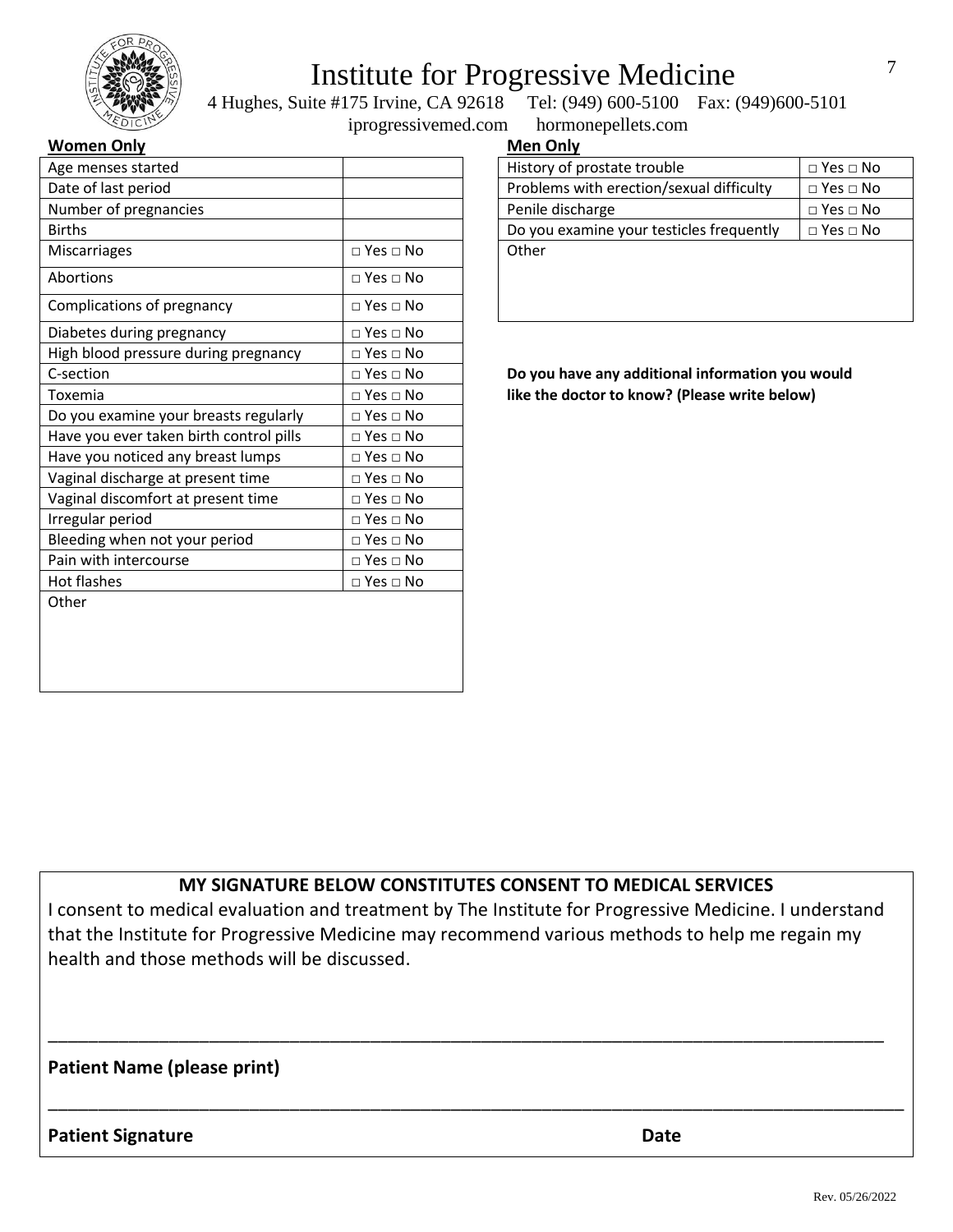

 4 Hughes, Suite #175 Irvine, CA 92618 Tel: (949) 600-5100 Fax: (949)600-5101 iprogressivemed.com hormonepellets.com

### **Women Only Men Men Men Men Men Men Men Men Men Men**

| Age menses started                      |                      | History of prostate trouble                      | $\square$ Yes $\square$ No |
|-----------------------------------------|----------------------|--------------------------------------------------|----------------------------|
| Date of last period                     |                      | Problems with erection/sexual difficulty         | $\square$ Yes $\square$ No |
| Number of pregnancies                   |                      | Penile discharge                                 | $\Box$ Yes $\Box$ No       |
| <b>Births</b>                           |                      | Do you examine your testicles frequently         | $\Box$ Yes $\Box$ No       |
| <b>Miscarriages</b>                     | $\Box$ Yes $\Box$ No | Other                                            |                            |
| Abortions                               | $\Box$ Yes $\Box$ No |                                                  |                            |
| Complications of pregnancy              | $\Box$ Yes $\Box$ No |                                                  |                            |
| Diabetes during pregnancy               | $\Box$ Yes $\Box$ No |                                                  |                            |
| High blood pressure during pregnancy    | $\Box$ Yes $\Box$ No |                                                  |                            |
| C-section                               | $\Box$ Yes $\Box$ No | Do you have any additional information you would |                            |
| Toxemia                                 | $\Box$ Yes $\Box$ No | like the doctor to know? (Please write below)    |                            |
| Do you examine your breasts regularly   | $\Box$ Yes $\Box$ No |                                                  |                            |
| Have you ever taken birth control pills | $\Box$ Yes $\Box$ No |                                                  |                            |
| Have you noticed any breast lumps       | $\Box$ Yes $\Box$ No |                                                  |                            |
| Vaginal discharge at present time       | $\Box$ Yes $\Box$ No |                                                  |                            |
| Vaginal discomfort at present time      | $\Box$ Yes $\Box$ No |                                                  |                            |
| Irregular period                        | $\Box$ Yes $\Box$ No |                                                  |                            |
| Bleeding when not your period           | $\Box$ Yes $\Box$ No |                                                  |                            |
| Pain with intercourse                   | $\Box$ Yes $\Box$ No |                                                  |                            |
| Hot flashes                             | $\Box$ Yes $\Box$ No |                                                  |                            |
| Other                                   |                      |                                                  |                            |

| 1en Only |  |
|----------|--|

| $\Box$ Yes $\Box$ No |
|----------------------|
| $\Box$ Yes $\Box$ No |
| $\Box$ Yes $\Box$ No |
| $\Box$ Yes $\Box$ No |
|                      |
|                      |
|                      |
|                      |

### **MY SIGNATURE BELOW CONSTITUTES CONSENT TO MEDICAL SERVICES**

I consent to medical evaluation and treatment by The Institute for Progressive Medicine. I understand that the Institute for Progressive Medicine may recommend various methods to help me regain my health and those methods will be discussed.

\_\_\_\_\_\_\_\_\_\_\_\_\_\_\_\_\_\_\_\_\_\_\_\_\_\_\_\_\_\_\_\_\_\_\_\_\_\_\_\_\_\_\_\_\_\_\_\_\_\_\_\_\_\_\_\_\_\_\_\_\_\_\_\_\_\_\_\_\_\_\_\_\_\_\_\_\_\_\_\_\_\_\_

\_\_\_\_\_\_\_\_\_\_\_\_\_\_\_\_\_\_\_\_\_\_\_\_\_\_\_\_\_\_\_\_\_\_\_\_\_\_\_\_\_\_\_\_\_\_\_\_\_\_\_\_\_\_\_\_\_\_\_\_\_\_\_\_\_\_\_\_\_\_\_\_\_\_\_\_\_\_\_\_\_\_\_\_\_

### **Patient Name (please print)**

**Patient Signature Date**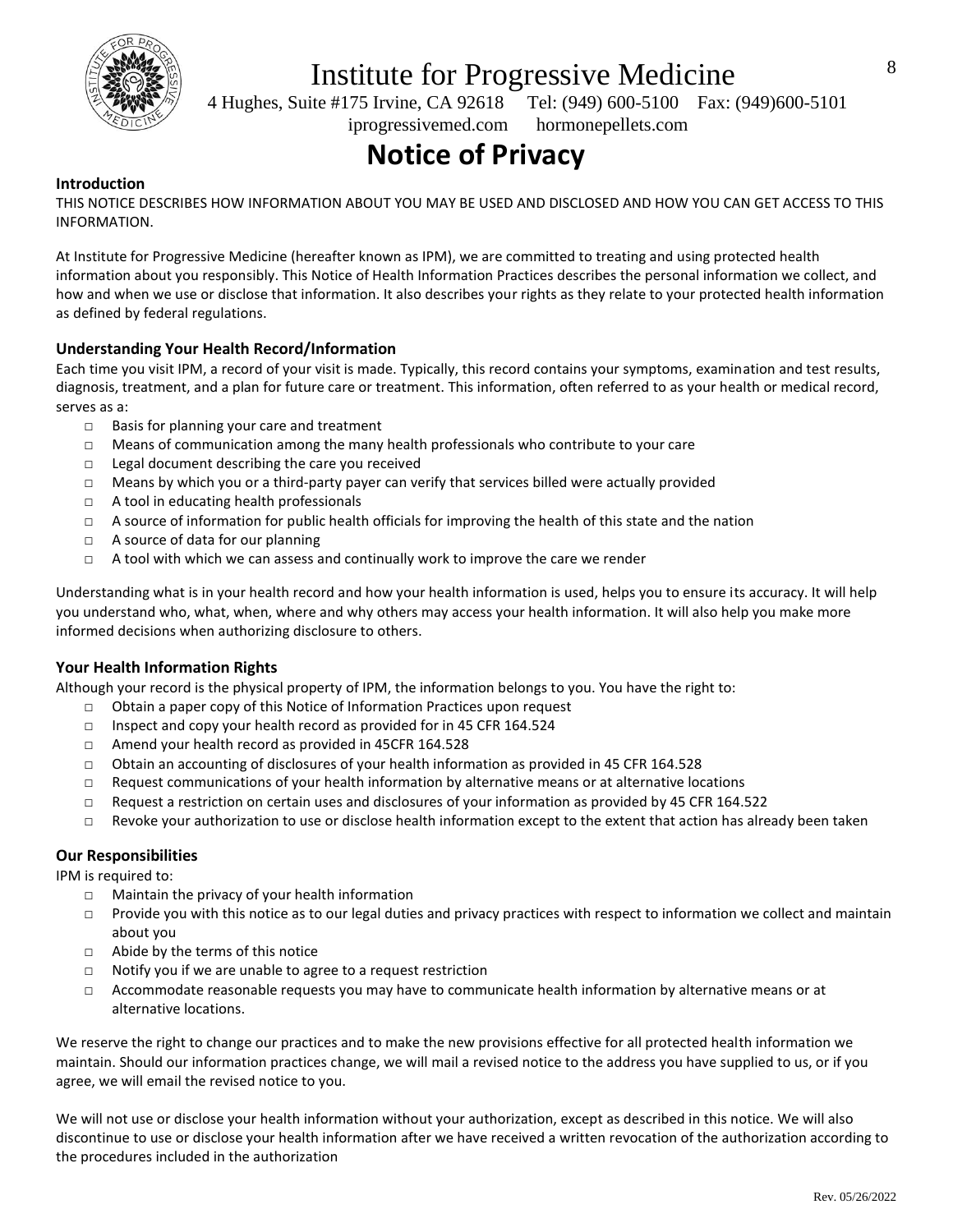

 4 Hughes, Suite #175 Irvine, CA 92618 Tel: (949) 600-5100 Fax: (949)600-5101 iprogressivemed.com hormonepellets.com

# **Notice of Privacy**

### **Introduction**

THIS NOTICE DESCRIBES HOW INFORMATION ABOUT YOU MAY BE USED AND DISCLOSED AND HOW YOU CAN GET ACCESS TO THIS INFORMATION.

At Institute for Progressive Medicine (hereafter known as IPM), we are committed to treating and using protected health information about you responsibly. This Notice of Health Information Practices describes the personal information we collect, and how and when we use or disclose that information. It also describes your rights as they relate to your protected health information as defined by federal regulations.

### **Understanding Your Health Record/Information**

Each time you visit IPM, a record of your visit is made. Typically, this record contains your symptoms, examination and test results, diagnosis, treatment, and a plan for future care or treatment. This information, often referred to as your health or medical record, serves as a:

- □ Basis for planning your care and treatment
- □ Means of communication among the many health professionals who contribute to your care
- □ Legal document describing the care you received
- □ Means by which you or a third-party payer can verify that services billed were actually provided
- □ A tool in educating health professionals
- □ A source of information for public health officials for improving the health of this state and the nation
- □ A source of data for our planning
- $\Box$  A tool with which we can assess and continually work to improve the care we render

Understanding what is in your health record and how your health information is used, helps you to ensure its accuracy. It will help you understand who, what, when, where and why others may access your health information. It will also help you make more informed decisions when authorizing disclosure to others.

#### **Your Health Information Rights**

Although your record is the physical property of IPM, the information belongs to you. You have the right to:

- □ Obtain a paper copy of this Notice of Information Practices upon request
- □ Inspect and copy your health record as provided for in 45 CFR 164.524
- □ Amend your health record as provided in 45CFR 164.528
- $\Box$  Obtain an accounting of disclosures of your health information as provided in 45 CFR 164.528
- $\Box$  Request communications of your health information by alternative means or at alternative locations
- □ Request a restriction on certain uses and disclosures of your information as provided by 45 CFR 164.522
- □ Revoke your authorization to use or disclose health information except to the extent that action has already been taken

### **Our Responsibilities**

IPM is required to:

- $\Box$  Maintain the privacy of your health information
- □ Provide you with this notice as to our legal duties and privacy practices with respect to information we collect and maintain about you
- □ Abide by the terms of this notice
- □ Notify you if we are unable to agree to a request restriction
- □ Accommodate reasonable requests you may have to communicate health information by alternative means or at alternative locations.

We reserve the right to change our practices and to make the new provisions effective for all protected health information we maintain. Should our information practices change, we will mail a revised notice to the address you have supplied to us, or if you agree, we will email the revised notice to you.

We will not use or disclose your health information without your authorization, except as described in this notice. We will also discontinue to use or disclose your health information after we have received a written revocation of the authorization according to the procedures included in the authorization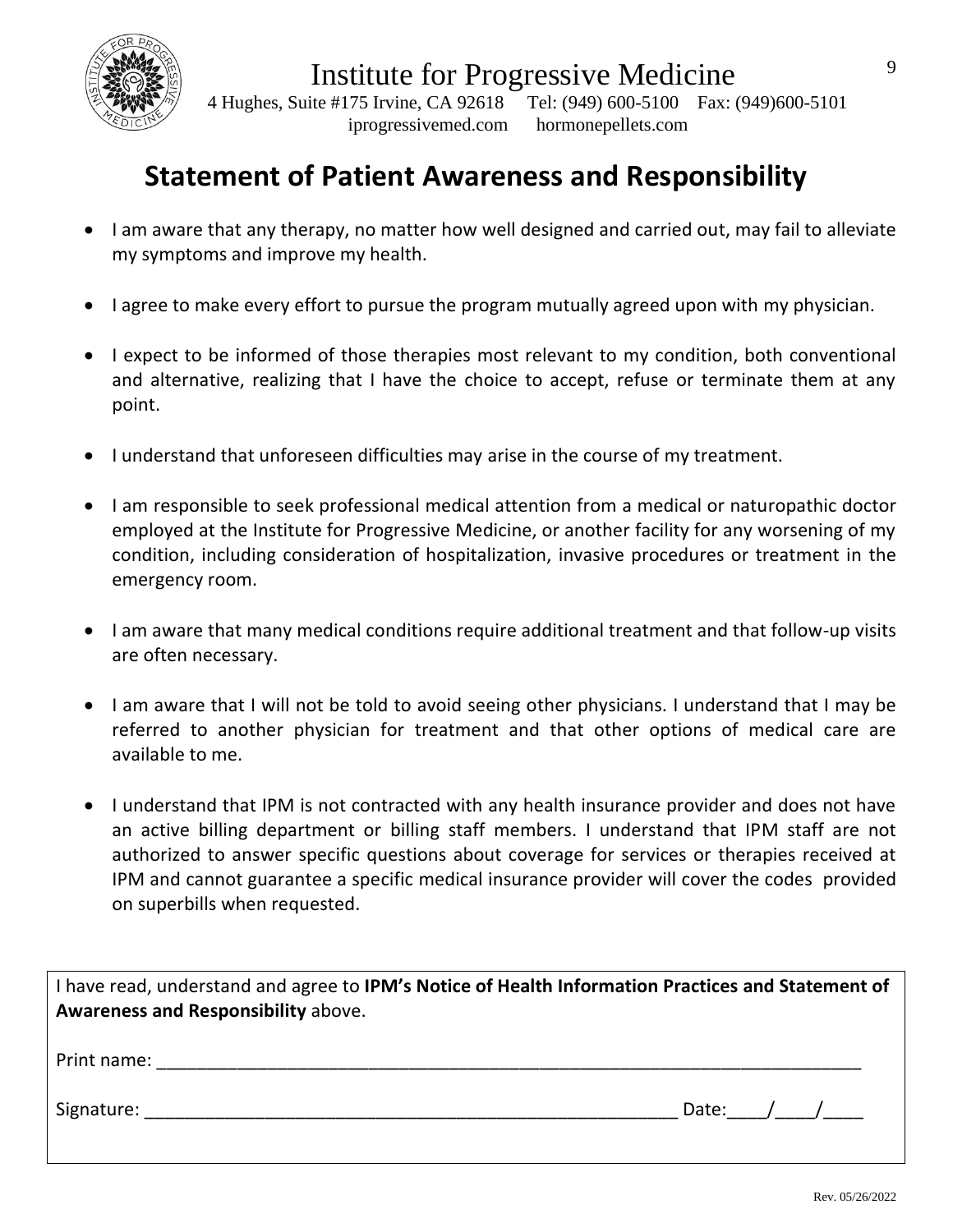

 4 Hughes, Suite #175 Irvine, CA 92618 Tel: (949) 600-5100 Fax: (949)600-5101 iprogressivemed.com hormonepellets.com

## **Statement of Patient Awareness and Responsibility**

- I am aware that any therapy, no matter how well designed and carried out, may fail to alleviate my symptoms and improve my health.
- I agree to make every effort to pursue the program mutually agreed upon with my physician.
- I expect to be informed of those therapies most relevant to my condition, both conventional and alternative, realizing that I have the choice to accept, refuse or terminate them at any point.
- I understand that unforeseen difficulties may arise in the course of my treatment.
- I am responsible to seek professional medical attention from a medical or naturopathic doctor employed at the Institute for Progressive Medicine, or another facility for any worsening of my condition, including consideration of hospitalization, invasive procedures or treatment in the emergency room.
- I am aware that many medical conditions require additional treatment and that follow-up visits are often necessary.
- I am aware that I will not be told to avoid seeing other physicians. I understand that I may be referred to another physician for treatment and that other options of medical care are available to me.
- I understand that IPM is not contracted with any health insurance provider and does not have an active billing department or billing staff members. I understand that IPM staff are not authorized to answer specific questions about coverage for services or therapies received at IPM and cannot guarantee a specific medical insurance provider will cover the codes provided on superbills when requested.

| I have read, understand and agree to IPM's Notice of Health Information Practices and Statement of<br>Awareness and Responsibility above. |           |
|-------------------------------------------------------------------------------------------------------------------------------------------|-----------|
| Print name:<br><u> 1980 - John Stein, Amerikaansk politiker (</u> † 1920)                                                                 |           |
| Signature: _____________________                                                                                                          | Date: / / |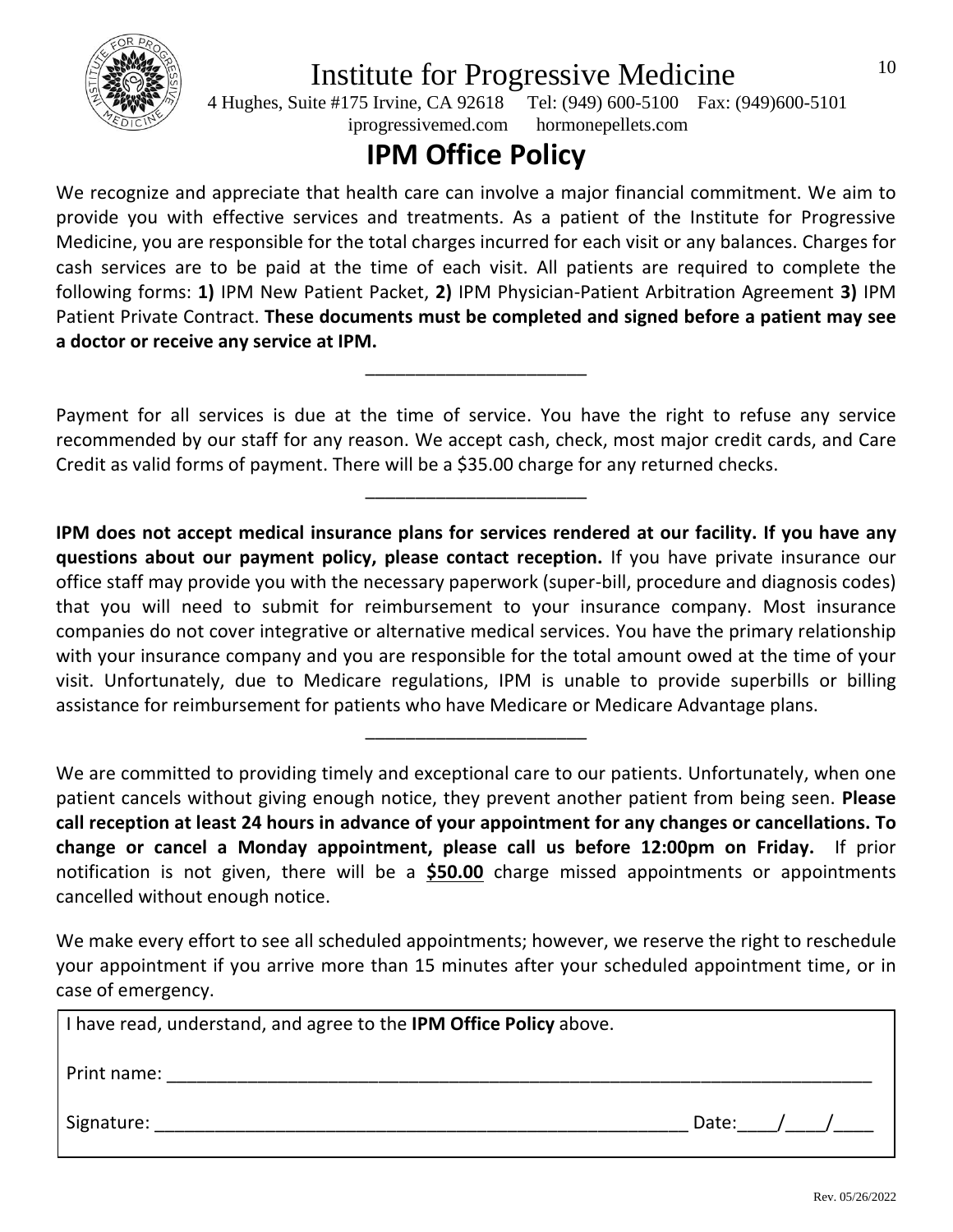

 4 Hughes, Suite #175 Irvine, CA 92618 Tel: (949) 600-5100 Fax: (949)600-5101 iprogressivemed.com hormonepellets.com

## **IPM Office Policy**

We recognize and appreciate that health care can involve a major financial commitment. We aim to provide you with effective services and treatments. As a patient of the Institute for Progressive Medicine, you are responsible for the total charges incurred for each visit or any balances. Charges for cash services are to be paid at the time of each visit. All patients are required to complete the following forms: **1)** IPM New Patient Packet, **2)** IPM Physician-Patient Arbitration Agreement **3)** IPM Patient Private Contract. **These documents must be completed and signed before a patient may see a doctor or receive any service at IPM.**

Payment for all services is due at the time of service. You have the right to refuse any service recommended by our staff for any reason. We accept cash, check, most major credit cards, and Care Credit as valid forms of payment. There will be a \$35.00 charge for any returned checks.

\_\_\_\_\_\_\_\_\_\_\_\_\_\_\_\_\_\_\_\_\_\_

\_\_\_\_\_\_\_\_\_\_\_\_\_\_\_\_\_\_\_\_\_\_

**IPM does not accept medical insurance plans for services rendered at our facility. If you have any questions about our payment policy, please contact reception.** If you have private insurance our office staff may provide you with the necessary paperwork (super-bill, procedure and diagnosis codes) that you will need to submit for reimbursement to your insurance company. Most insurance companies do not cover integrative or alternative medical services. You have the primary relationship with your insurance company and you are responsible for the total amount owed at the time of your visit. Unfortunately, due to Medicare regulations, IPM is unable to provide superbills or billing assistance for reimbursement for patients who have Medicare or Medicare Advantage plans.

We are committed to providing timely and exceptional care to our patients. Unfortunately, when one patient cancels without giving enough notice, they prevent another patient from being seen. **Please call reception at least 24 hours in advance of your appointment for any changes or cancellations. To change or cancel a Monday appointment, please call us before 12:00pm on Friday.** If prior notification is not given, there will be a **\$50.00** charge missed appointments or appointments cancelled without enough notice.

\_\_\_\_\_\_\_\_\_\_\_\_\_\_\_\_\_\_\_\_\_\_

We make every effort to see all scheduled appointments; however, we reserve the right to reschedule your appointment if you arrive more than 15 minutes after your scheduled appointment time, or in case of emergency.

| I have read, understand, and agree to the IPM Office Policy above. |       |  |
|--------------------------------------------------------------------|-------|--|
| Print name:                                                        |       |  |
| Signature:                                                         | Date: |  |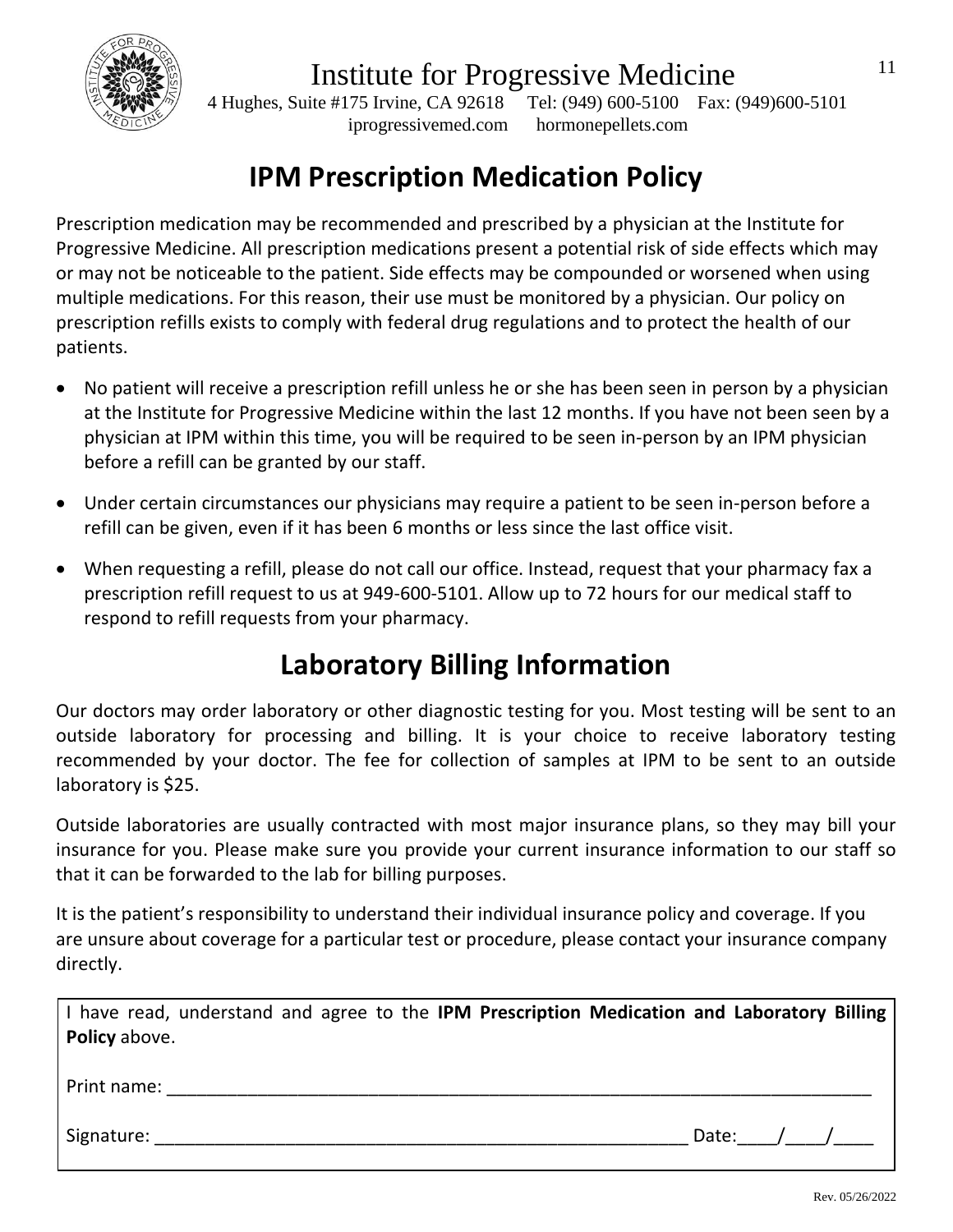

 4 Hughes, Suite #175 Irvine, CA 92618 Tel: (949) 600-5100 Fax: (949)600-5101 iprogressivemed.com hormonepellets.com

# **IPM Prescription Medication Policy**

Prescription medication may be recommended and prescribed by a physician at the Institute for Progressive Medicine. All prescription medications present a potential risk of side effects which may or may not be noticeable to the patient. Side effects may be compounded or worsened when using multiple medications. For this reason, their use must be monitored by a physician. Our policy on prescription refills exists to comply with federal drug regulations and to protect the health of our patients.

- No patient will receive a prescription refill unless he or she has been seen in person by a physician at the Institute for Progressive Medicine within the last 12 months. If you have not been seen by a physician at IPM within this time, you will be required to be seen in-person by an IPM physician before a refill can be granted by our staff.
- Under certain circumstances our physicians may require a patient to be seen in-person before a refill can be given, even if it has been 6 months or less since the last office visit.
- When requesting a refill, please do not call our office. Instead, request that your pharmacy fax a prescription refill request to us at 949-600-5101. Allow up to 72 hours for our medical staff to respond to refill requests from your pharmacy.

## **Laboratory Billing Information**

Our doctors may order laboratory or other diagnostic testing for you. Most testing will be sent to an outside laboratory for processing and billing. It is your choice to receive laboratory testing recommended by your doctor. The fee for collection of samples at IPM to be sent to an outside laboratory is \$25.

Outside laboratories are usually contracted with most major insurance plans, so they may bill your insurance for you. Please make sure you provide your current insurance information to our staff so that it can be forwarded to the lab for billing purposes.

It is the patient's responsibility to understand their individual insurance policy and coverage. If you are unsure about coverage for a particular test or procedure, please contact your insurance company directly.

| I have read, understand and agree to the IPM Prescription Medication and Laboratory Billing |  |  |  |  |             |  |
|---------------------------------------------------------------------------------------------|--|--|--|--|-------------|--|
| <b>Policy</b> above.                                                                        |  |  |  |  |             |  |
|                                                                                             |  |  |  |  |             |  |
| Print name:                                                                                 |  |  |  |  |             |  |
|                                                                                             |  |  |  |  |             |  |
| Signature:                                                                                  |  |  |  |  | Date: $/$ / |  |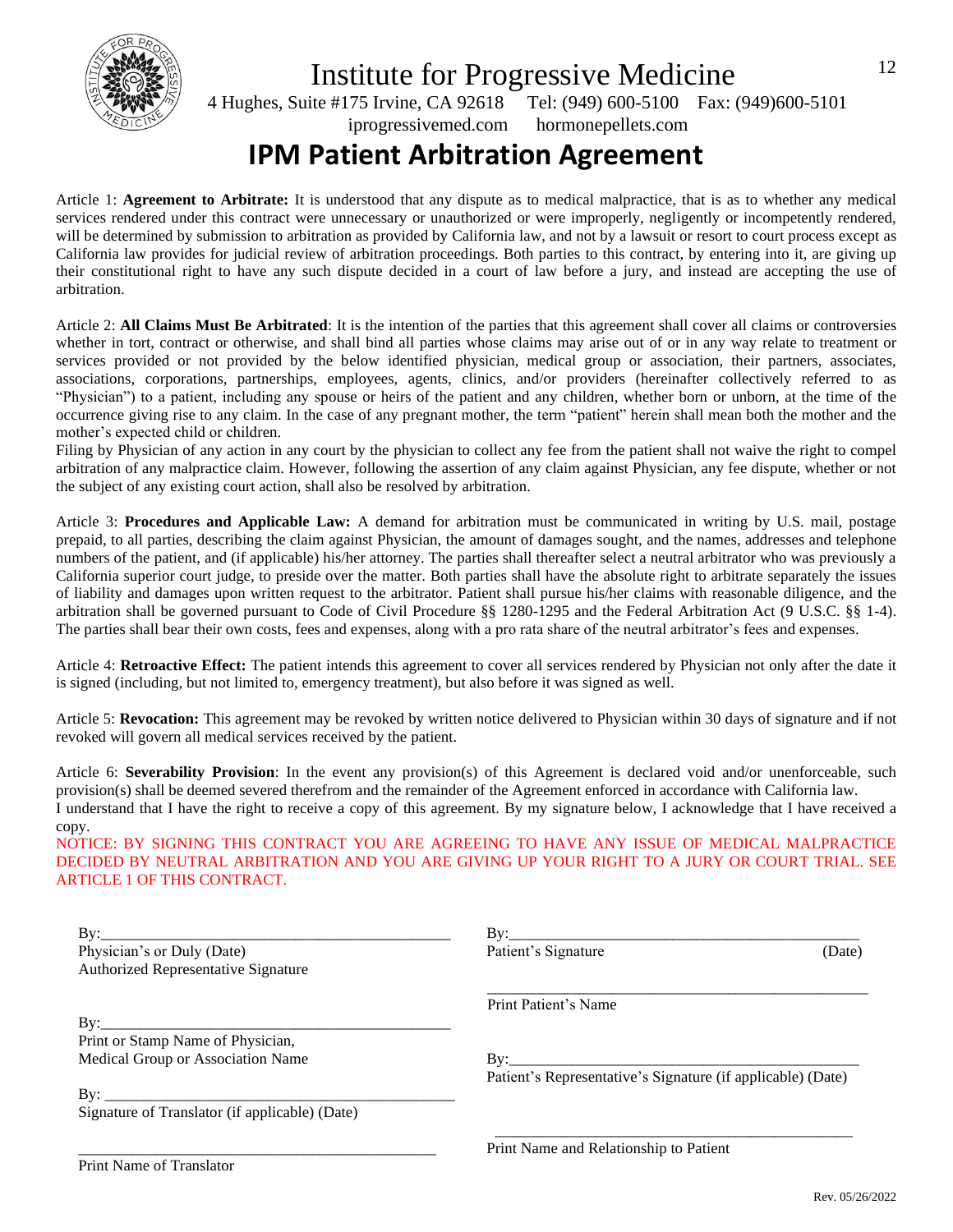

 4 Hughes, Suite #175 Irvine, CA 92618 Tel: (949) 600-5100 Fax: (949)600-5101 iprogressivemed.com hormonepellets.com

### **IPM Patient Arbitration Agreement**

Article 1: **Agreement to Arbitrate:** It is understood that any dispute as to medical malpractice, that is as to whether any medical services rendered under this contract were unnecessary or unauthorized or were improperly, negligently or incompetently rendered, will be determined by submission to arbitration as provided by California law, and not by a lawsuit or resort to court process except as California law provides for judicial review of arbitration proceedings. Both parties to this contract, by entering into it, are giving up their constitutional right to have any such dispute decided in a court of law before a jury, and instead are accepting the use of arbitration.

Article 2: **All Claims Must Be Arbitrated**: It is the intention of the parties that this agreement shall cover all claims or controversies whether in tort, contract or otherwise, and shall bind all parties whose claims may arise out of or in any way relate to treatment or services provided or not provided by the below identified physician, medical group or association, their partners, associates, associations, corporations, partnerships, employees, agents, clinics, and/or providers (hereinafter collectively referred to as "Physician") to a patient, including any spouse or heirs of the patient and any children, whether born or unborn, at the time of the occurrence giving rise to any claim. In the case of any pregnant mother, the term "patient" herein shall mean both the mother and the mother's expected child or children.

Filing by Physician of any action in any court by the physician to collect any fee from the patient shall not waive the right to compel arbitration of any malpractice claim. However, following the assertion of any claim against Physician, any fee dispute, whether or not the subject of any existing court action, shall also be resolved by arbitration.

Article 3: **Procedures and Applicable Law:** A demand for arbitration must be communicated in writing by U.S. mail, postage prepaid, to all parties, describing the claim against Physician, the amount of damages sought, and the names, addresses and telephone numbers of the patient, and (if applicable) his/her attorney. The parties shall thereafter select a neutral arbitrator who was previously a California superior court judge, to preside over the matter. Both parties shall have the absolute right to arbitrate separately the issues of liability and damages upon written request to the arbitrator. Patient shall pursue his/her claims with reasonable diligence, and the arbitration shall be governed pursuant to Code of Civil Procedure §§ 1280-1295 and the Federal Arbitration Act (9 U.S.C. §§ 1-4). The parties shall bear their own costs, fees and expenses, along with a pro rata share of the neutral arbitrator's fees and expenses.

Article 4: **Retroactive Effect:** The patient intends this agreement to cover all services rendered by Physician not only after the date it is signed (including, but not limited to, emergency treatment), but also before it was signed as well.

Article 5: **Revocation:** This agreement may be revoked by written notice delivered to Physician within 30 days of signature and if not revoked will govern all medical services received by the patient.

Article 6: **Severability Provision**: In the event any provision(s) of this Agreement is declared void and/or unenforceable, such provision(s) shall be deemed severed therefrom and the remainder of the Agreement enforced in accordance with California law. I understand that I have the right to receive a copy of this agreement. By my signature below, I acknowledge that I have received a copy.

NOTICE: BY SIGNING THIS CONTRACT YOU ARE AGREEING TO HAVE ANY ISSUE OF MEDICAL MALPRACTICE DECIDED BY NEUTRAL ARBITRATION AND YOU ARE GIVING UP YOUR RIGHT TO A JURY OR COURT TRIAL. SEE ARTICLE 1 OF THIS CONTRACT.

| By:<br>Physician's or Duly (Date)<br>Authorized Representative Signature | Patient's Signature                                         | (Date) |
|--------------------------------------------------------------------------|-------------------------------------------------------------|--------|
|                                                                          | Print Patient's Name                                        |        |
| Print or Stamp Name of Physician,                                        |                                                             |        |
| Medical Group or Association Name                                        |                                                             |        |
|                                                                          | Patient's Representative's Signature (if applicable) (Date) |        |
| Signature of Translator (if applicable) (Date)                           |                                                             |        |
|                                                                          | Print Name and Relationship to Patient                      |        |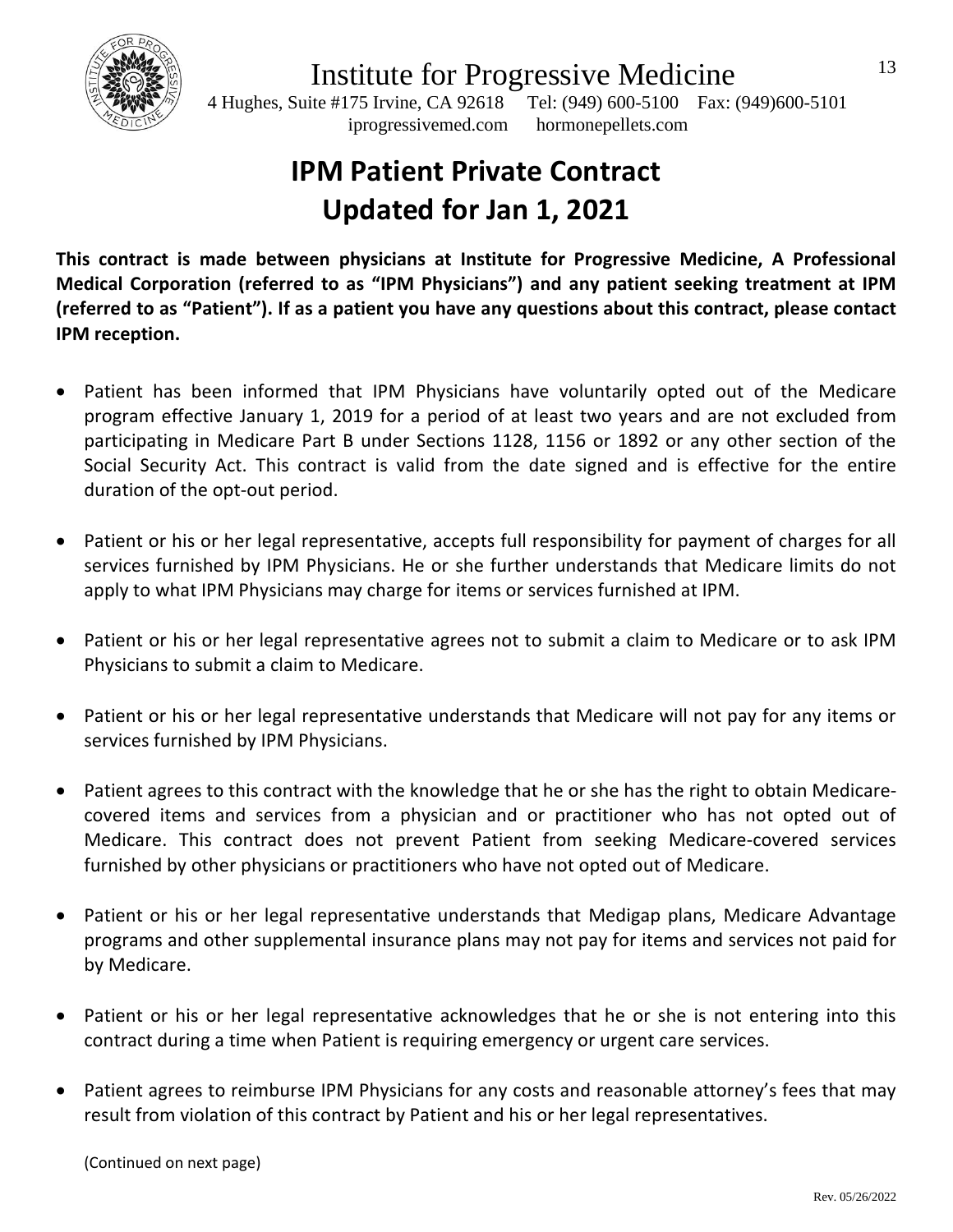

 4 Hughes, Suite #175 Irvine, CA 92618 Tel: (949) 600-5100 Fax: (949)600-5101 iprogressivemed.com hormonepellets.com

# **IPM Patient Private Contract Updated for Jan 1, 2021**

**This contract is made between physicians at Institute for Progressive Medicine, A Professional Medical Corporation (referred to as "IPM Physicians") and any patient seeking treatment at IPM (referred to as "Patient"). If as a patient you have any questions about this contract, please contact IPM reception.** 

- Patient has been informed that IPM Physicians have voluntarily opted out of the Medicare program effective January 1, 2019 for a period of at least two years and are not excluded from participating in Medicare Part B under Sections 1128, 1156 or 1892 or any other section of the Social Security Act. This contract is valid from the date signed and is effective for the entire duration of the opt-out period.
- Patient or his or her legal representative, accepts full responsibility for payment of charges for all services furnished by IPM Physicians. He or she further understands that Medicare limits do not apply to what IPM Physicians may charge for items or services furnished at IPM.
- Patient or his or her legal representative agrees not to submit a claim to Medicare or to ask IPM Physicians to submit a claim to Medicare.
- Patient or his or her legal representative understands that Medicare will not pay for any items or services furnished by IPM Physicians.
- Patient agrees to this contract with the knowledge that he or she has the right to obtain Medicarecovered items and services from a physician and or practitioner who has not opted out of Medicare. This contract does not prevent Patient from seeking Medicare-covered services furnished by other physicians or practitioners who have not opted out of Medicare.
- Patient or his or her legal representative understands that Medigap plans, Medicare Advantage programs and other supplemental insurance plans may not pay for items and services not paid for by Medicare.
- Patient or his or her legal representative acknowledges that he or she is not entering into this contract during a time when Patient is requiring emergency or urgent care services.
- Patient agrees to reimburse IPM Physicians for any costs and reasonable attorney's fees that may result from violation of this contract by Patient and his or her legal representatives.